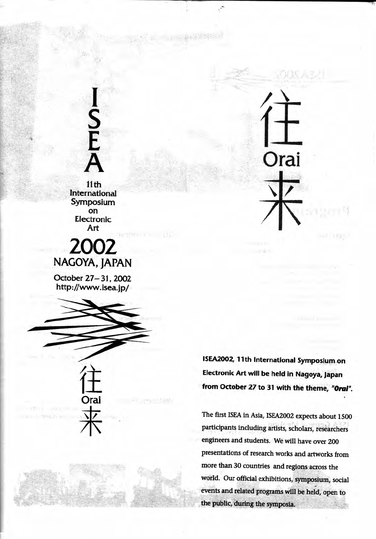$11<sub>th</sub>$ International Symposium on Electronic Art

# 2002 NAGOYA, JAPAN

October 27-31, 2002 http://www.isea.jp/



ISEA2002, 11th International Symposium on Electronic Art will be held in Nagoya, Japan from October 27 to 31 with the theme, "Orai".

Orai

The first ISEA in Asia, ISEA2002 expects about 1500 participants including artists, scholars, researchers engineers and students. We will have over 200 presentations of research works and artworks from more than 30 countries and regions across the world. Our official exhibitions, symposium, social events and related programs will be held, open to the public, during the symposia.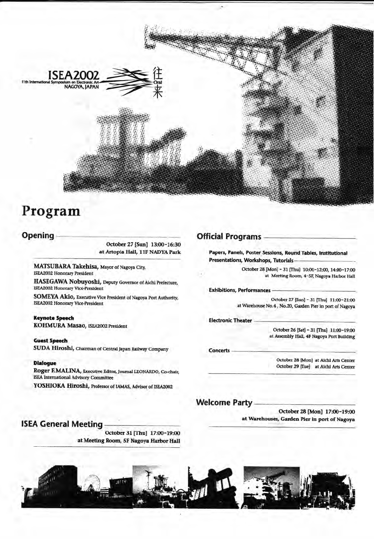

## Program

#### Opening

October 27 [Sun] 13:00-16:30 at Artopia Hall, 11F NADYA Park

MATSUBARA Takehisa, Mayor of Nagoya City, **ISEA2002 Honorary President** 

HASEGAWA Nobuyoshi, Deputy Governor of Aichi Prefecture, **ISEA2002 Honorary Vice-President** 

SOMEYA Akio, Executive Vice President of Nagoya Port Authority, ISEA2002 Honorary Vice-President

**Keynote Speech** KOHMURA Masao, ISEA2002 President

**Guest Speech** SUDA Hiroshi, Chairman of Central Japan Railway Company

#### **Dialogue**

Roger F.MALINA, Executive Editor, Journal LEONARDO, Co-chair, **ISEA** International Advisory Committee

YOSHIOKA Hiroshi, Professor of IAMAS, Advisor of ISEA2002

### **Official Programs**

Papers, Panels, Poster Sessions, Round Tables, Institutional Presentations, Workshops, Tutorials-

> October 28 [Mon] - 31 [Thu] 10:00-12:00, 14:00-17:00 at Meeting Room, 4-5F, Nagoya Harbor Hall

**Exhibitions, Performances** 

October 27 [Sun] - 31 [Thu] 11:00-21:00 at Warehouse No.4, No.20, Garden Pier in port of Nagoya

**Electronic Theater** 

October 26 [Sat] - 31 [Thu] 11:00-19:00 at Assembly Hall, 4F Nagoya Port Building

**Concerts** 

October 28 [Mon] at Aichi Arts Center October 29 [Tue] at Aichi Arts Center

#### **Welcome Party**

October 28 [Mon] 17:00-19:00 at Warehouses, Garden Pier in port of Nagoya

#### **ISEA General Meeting**

October 31 [Thu] 17:00-19:00 at Meeting Room, 5F Nagoya Harbor Hall

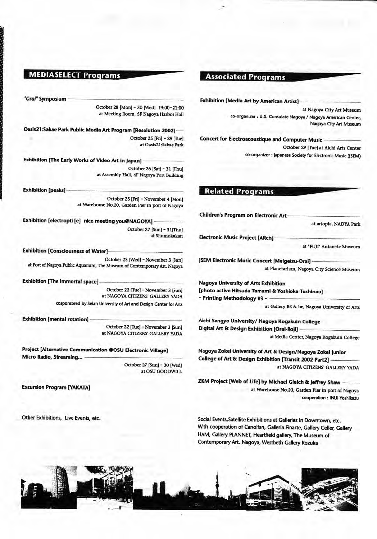#### **MEDIASELECT Programs**

"Orai" Symposium

October 28 [Mon] - 30 [Wed] 19:00-21:00 at Meeting Room, 5F Nagova Harbor Hall

Oasis21:Sakae Park Public Media Art Program [Resolution 2002] October 25 [Fri] - 29 [Tuel at Oasis21:Sakae Park

Exhibition [The Early Works of Video Art in Japan] October 26 [Sat] - 31 [Thu] at Assembly Hall, 4F Nagoya Port Building

**Exhibition** [peaks] October 25 [Fri] - November 4 [Mon] at Warehouse No.20, Garden Pier in port of Nagova

Exhibition [electropti [e] nice meeting you@NAGOYA] October 27 [Sun] - 31 [Thu] at Shumokukan

**Exhibition [Consciousness of Water]** October 23 [Wed] - November 3 [Sun] at Port of Nagoya Public Aquarium, The Museum of Contemporary Art. Nagoya

**Exhibition [The immortal space]** 

October 22 [Tue] - November 3 [Sun] at NAGOYA CITIZENS' GALLERY YADA cosponsored by Seian University of Art and Design Center for Arts

**Exhibition [mental rotation]** 

October 22 [Tue] - November 3 [Sun] at NAGOYA CITIZENS' GALLERY YADA

Project [Alternative Communication @OSU Electronic Village] Micro Radio, Streaming... October 27 [Sun] - 30 [Wed]

at OSU GOODWILL

**Excursion Program [YAKATA]** 

Other Exhibitions, Live Events, etc.

#### **Associated Programs**

**Exhibition [Media Art by American Artist]** 

at Nagoya City Art Museum co-organizer : U.S. Consulate Nagoya / Nagoya American Center, Nagoya City Art Museum

Concert for Electroacoustique and Computer Music

October 29 [Tue] at Aichi Arts Center co-organizer : Japanese Society for Electronic Music (ISEM)

### **Related Programs**

**Children's Program on Electronic Art** 

at artopia, NADYA Park

**Electronic Music Project [ARch]** 

at "FUII" Antarctic Museum

**JSEM Electronic Music Concert [Meigetsu-Orai]** at Planetarium, Nagoya City Science Museum

Nagoya University of Arts Exhibition [photo active Hitsuda Tamami & Yoshioka Toshinao] - Printing Methodology #3 -

at Gallery BE & be, Nagoya University of Arts

Aichi Sangyo University/ Nagoya Kogakuin College Digital Art & Design Exhibition [Oral-Roji]

at Media Center, Nagoya Kogakuin College

Nagoya Zokei University of Art & Design/Nagoya Zokei Junior College of Art & Design Exhibition [Transit 2002 Part2] at NAGOYA CITIZENS' GALLERY YADA

ZKM Project [Web of Life] by Michael Gleich & Jeffrey Shaw at Warehouse No.20, Garden Pier in port of Nagova cooperation : INUI Yoshikazu

Social Events, Satellite Exhibitions at Galleries in Downtown, etc. With cooperation of Canolfan, Galleria Finarte, Gallery Celler, Gallery HAM, Gallery PLANNET, Heartfield gallery, The Museum of Contemporary Art. Nagoya, Westbeth Gallery Kozuka